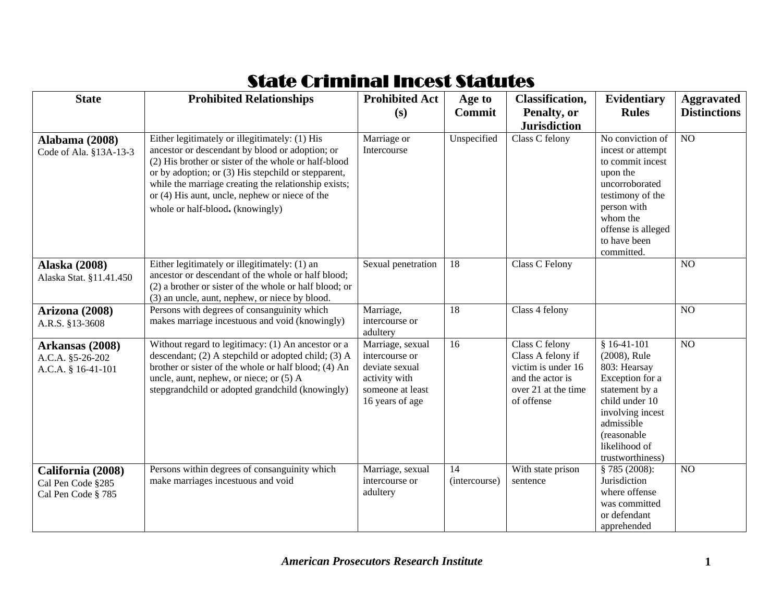## State Criminal Incest Statutes

| <b>State</b>                                                 | <b>Prohibited Relationships</b>                                                                                                                                                                                                                                                                                                                                | <b>Prohibited Act</b><br>(s)                                                                                 | Age to<br><b>Commit</b> | <b>Classification,</b><br>Penalty, or                                                                              | Evidentiary<br><b>Rules</b>                                                                                                                                                                | <b>Aggravated</b><br><b>Distinctions</b> |
|--------------------------------------------------------------|----------------------------------------------------------------------------------------------------------------------------------------------------------------------------------------------------------------------------------------------------------------------------------------------------------------------------------------------------------------|--------------------------------------------------------------------------------------------------------------|-------------------------|--------------------------------------------------------------------------------------------------------------------|--------------------------------------------------------------------------------------------------------------------------------------------------------------------------------------------|------------------------------------------|
|                                                              |                                                                                                                                                                                                                                                                                                                                                                |                                                                                                              |                         | <b>Jurisdiction</b>                                                                                                |                                                                                                                                                                                            |                                          |
| <b>Alabama</b> (2008)<br>Code of Ala. §13A-13-3              | Either legitimately or illegitimately: (1) His<br>ancestor or descendant by blood or adoption; or<br>(2) His brother or sister of the whole or half-blood<br>or by adoption; or (3) His stepchild or stepparent,<br>while the marriage creating the relationship exists;<br>or (4) His aunt, uncle, nephew or niece of the<br>whole or half-blood. (knowingly) | Marriage or<br>Intercourse                                                                                   | Unspecified             | Class C felony                                                                                                     | No conviction of<br>incest or attempt<br>to commit incest<br>upon the<br>uncorroborated<br>testimony of the<br>person with<br>whom the<br>offense is alleged<br>to have been<br>committed. | $\overline{NO}$                          |
| <b>Alaska</b> (2008)<br>Alaska Stat. §11.41.450              | Either legitimately or illegitimately: (1) an<br>ancestor or descendant of the whole or half blood;<br>(2) a brother or sister of the whole or half blood; or<br>(3) an uncle, aunt, nephew, or niece by blood.                                                                                                                                                | Sexual penetration                                                                                           | 18                      | Class C Felony                                                                                                     |                                                                                                                                                                                            | N <sub>O</sub>                           |
| Arizona (2008)<br>A.R.S. §13-3608                            | Persons with degrees of consanguinity which<br>makes marriage incestuous and void (knowingly)                                                                                                                                                                                                                                                                  | Marriage,<br>intercourse or<br>adultery                                                                      | 18                      | Class 4 felony                                                                                                     |                                                                                                                                                                                            | N <sub>O</sub>                           |
| Arkansas (2008)<br>A.C.A. §5-26-202<br>A.C.A. § 16-41-101    | Without regard to legitimacy: (1) An ancestor or a<br>descendant; (2) A stepchild or adopted child; (3) A<br>brother or sister of the whole or half blood; (4) An<br>uncle, aunt, nephew, or niece; or (5) A<br>stepgrandchild or adopted grandchild (knowingly)                                                                                               | Marriage, sexual<br>intercourse or<br>deviate sexual<br>activity with<br>someone at least<br>16 years of age | 16                      | Class C felony<br>Class A felony if<br>victim is under 16<br>and the actor is<br>over 21 at the time<br>of offense | $$16-41-101$<br>(2008), Rule<br>803: Hearsay<br>Exception for a<br>statement by a<br>child under 10<br>involving incest<br>admissible<br>(reasonable)<br>likelihood of<br>trustworthiness) | $\overline{NO}$                          |
| California (2008)<br>Cal Pen Code §285<br>Cal Pen Code § 785 | Persons within degrees of consanguinity which<br>make marriages incestuous and void                                                                                                                                                                                                                                                                            | Marriage, sexual<br>intercourse or<br>adultery                                                               | 14<br>(intercourse)     | With state prison<br>sentence                                                                                      | § 785(2008):<br>Jurisdiction<br>where offense<br>was committed<br>or defendant<br>apprehended                                                                                              | NO                                       |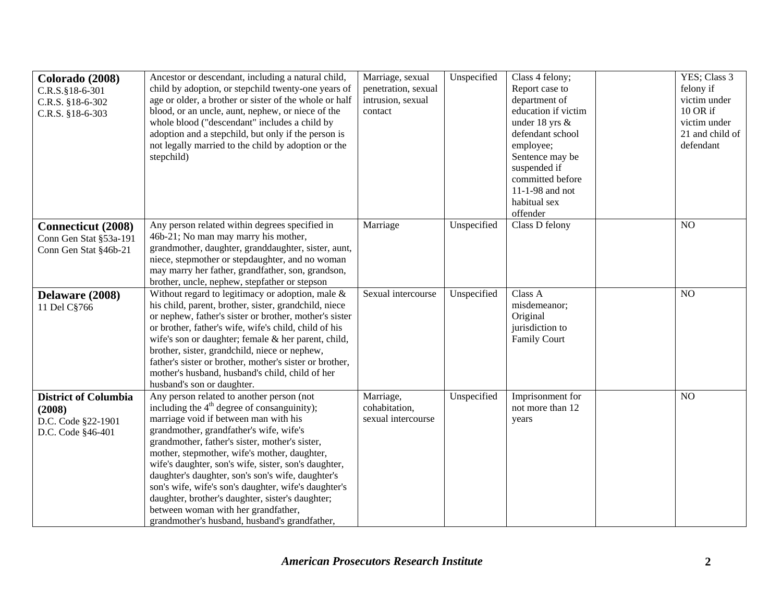| Colorado (2008)<br>C.R.S.§18-6-301<br>C.R.S. §18-6-302<br>C.R.S. §18-6-303       | Ancestor or descendant, including a natural child,<br>child by adoption, or stepchild twenty-one years of<br>age or older, a brother or sister of the whole or half<br>blood, or an uncle, aunt, nephew, or niece of the<br>whole blood ("descendant" includes a child by<br>adoption and a stepchild, but only if the person is<br>not legally married to the child by adoption or the<br>stepchild)                                                                                                                                                                                             | Marriage, sexual<br>penetration, sexual<br>intrusion, sexual<br>contact | Unspecified | Class 4 felony;<br>Report case to<br>department of<br>education if victim<br>under 18 yrs &<br>defendant school<br>employee;<br>Sentence may be<br>suspended if<br>committed before<br>11-1-98 and not<br>habitual sex<br>offender | YES; Class 3<br>felony if<br>victim under<br>10 OR if<br>victim under<br>21 and child of<br>defendant |
|----------------------------------------------------------------------------------|---------------------------------------------------------------------------------------------------------------------------------------------------------------------------------------------------------------------------------------------------------------------------------------------------------------------------------------------------------------------------------------------------------------------------------------------------------------------------------------------------------------------------------------------------------------------------------------------------|-------------------------------------------------------------------------|-------------|------------------------------------------------------------------------------------------------------------------------------------------------------------------------------------------------------------------------------------|-------------------------------------------------------------------------------------------------------|
| <b>Connecticut</b> (2008)<br>Conn Gen Stat §53a-191<br>Conn Gen Stat §46b-21     | Any person related within degrees specified in<br>46b-21; No man may marry his mother,<br>grandmother, daughter, granddaughter, sister, aunt,<br>niece, stepmother or stepdaughter, and no woman<br>may marry her father, grandfather, son, grandson,<br>brother, uncle, nephew, stepfather or stepson                                                                                                                                                                                                                                                                                            | Marriage                                                                | Unspecified | Class D felony                                                                                                                                                                                                                     | NO                                                                                                    |
| Delaware (2008)<br>11 Del C§766                                                  | Without regard to legitimacy or adoption, male &<br>his child, parent, brother, sister, grandchild, niece<br>or nephew, father's sister or brother, mother's sister<br>or brother, father's wife, wife's child, child of his<br>wife's son or daughter; female & her parent, child,<br>brother, sister, grandchild, niece or nephew,<br>father's sister or brother, mother's sister or brother,<br>mother's husband, husband's child, child of her<br>husband's son or daughter.                                                                                                                  | Sexual intercourse                                                      | Unspecified | Class A<br>misdemeanor;<br>Original<br>jurisdiction to<br><b>Family Court</b>                                                                                                                                                      | N <sub>O</sub>                                                                                        |
| <b>District of Columbia</b><br>(2008)<br>D.C. Code §22-1901<br>D.C. Code §46-401 | Any person related to another person (not<br>including the $4th$ degree of consanguinity);<br>marriage void if between man with his<br>grandmother, grandfather's wife, wife's<br>grandmother, father's sister, mother's sister,<br>mother, stepmother, wife's mother, daughter,<br>wife's daughter, son's wife, sister, son's daughter,<br>daughter's daughter, son's son's wife, daughter's<br>son's wife, wife's son's daughter, wife's daughter's<br>daughter, brother's daughter, sister's daughter;<br>between woman with her grandfather,<br>grandmother's husband, husband's grandfather, | Marriage,<br>cohabitation,<br>sexual intercourse                        | Unspecified | Imprisonment for<br>not more than 12<br>years                                                                                                                                                                                      | N <sub>O</sub>                                                                                        |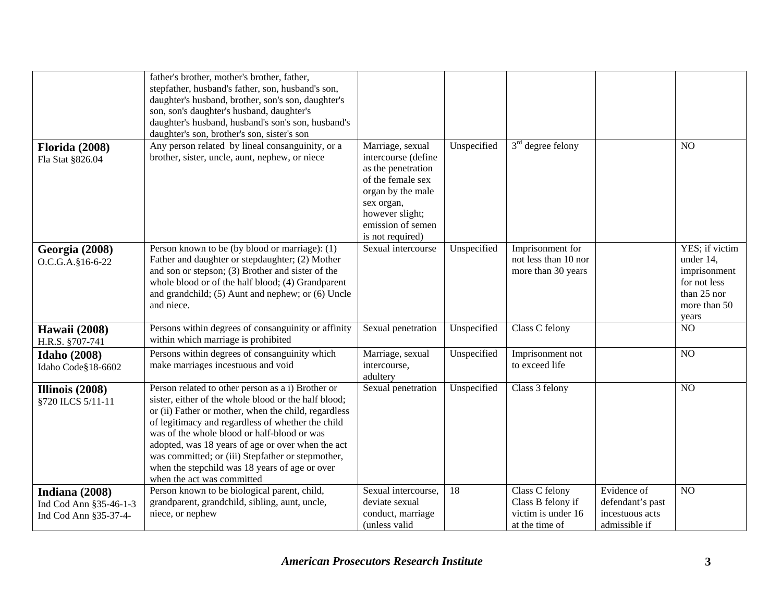|                                                                   | father's brother, mother's brother, father,<br>stepfather, husband's father, son, husband's son,<br>daughter's husband, brother, son's son, daughter's<br>son, son's daughter's husband, daughter's<br>daughter's husband, husband's son's son, husband's<br>daughter's son, brother's son, sister's son                                                                                                                                                        |                                                                                                                                                                                   |             |                                                                             |                                                                     |                                                                                                     |
|-------------------------------------------------------------------|-----------------------------------------------------------------------------------------------------------------------------------------------------------------------------------------------------------------------------------------------------------------------------------------------------------------------------------------------------------------------------------------------------------------------------------------------------------------|-----------------------------------------------------------------------------------------------------------------------------------------------------------------------------------|-------------|-----------------------------------------------------------------------------|---------------------------------------------------------------------|-----------------------------------------------------------------------------------------------------|
| <b>Florida (2008)</b><br>Fla Stat §826.04                         | Any person related by lineal consanguinity, or a<br>brother, sister, uncle, aunt, nephew, or niece                                                                                                                                                                                                                                                                                                                                                              | Marriage, sexual<br>intercourse (define<br>as the penetration<br>of the female sex<br>organ by the male<br>sex organ,<br>however slight;<br>emission of semen<br>is not required) | Unspecified | $3rd$ degree felony                                                         |                                                                     | N <sub>O</sub>                                                                                      |
| Georgia (2008)<br>O.C.G.A.§16-6-22                                | Person known to be (by blood or marriage): (1)<br>Father and daughter or stepdaughter; (2) Mother<br>and son or stepson; (3) Brother and sister of the<br>whole blood or of the half blood; (4) Grandparent<br>and grandchild; (5) Aunt and nephew; or (6) Uncle<br>and niece.                                                                                                                                                                                  | Sexual intercourse                                                                                                                                                                | Unspecified | Imprisonment for<br>not less than 10 nor<br>more than 30 years              |                                                                     | YES; if victim<br>under 14,<br>imprisonment<br>for not less<br>than 25 nor<br>more than 50<br>years |
| <b>Hawaii</b> (2008)<br>H.R.S. §707-741                           | Persons within degrees of consanguinity or affinity<br>within which marriage is prohibited                                                                                                                                                                                                                                                                                                                                                                      | Sexual penetration                                                                                                                                                                | Unspecified | Class C felony                                                              |                                                                     | NO                                                                                                  |
| <b>Idaho</b> (2008)<br>Idaho Code§18-6602                         | Persons within degrees of consanguinity which<br>make marriages incestuous and void                                                                                                                                                                                                                                                                                                                                                                             | Marriage, sexual<br>intercourse,<br>adultery                                                                                                                                      | Unspecified | Imprisonment not<br>to exceed life                                          |                                                                     | NO                                                                                                  |
| Illinois (2008)<br>§720 ILCS 5/11-11                              | Person related to other person as a i) Brother or<br>sister, either of the whole blood or the half blood;<br>or (ii) Father or mother, when the child, regardless<br>of legitimacy and regardless of whether the child<br>was of the whole blood or half-blood or was<br>adopted, was 18 years of age or over when the act<br>was committed; or (iii) Stepfather or stepmother,<br>when the stepchild was 18 years of age or over<br>when the act was committed | Sexual penetration                                                                                                                                                                | Unspecified | Class 3 felony                                                              |                                                                     | NO                                                                                                  |
| Indiana (2008)<br>Ind Cod Ann §35-46-1-3<br>Ind Cod Ann §35-37-4- | Person known to be biological parent, child,<br>grandparent, grandchild, sibling, aunt, uncle,<br>niece, or nephew                                                                                                                                                                                                                                                                                                                                              | Sexual intercourse,<br>deviate sexual<br>conduct, marriage<br>(unless valid                                                                                                       | 18          | Class C felony<br>Class B felony if<br>victim is under 16<br>at the time of | Evidence of<br>defendant's past<br>incestuous acts<br>admissible if | NO                                                                                                  |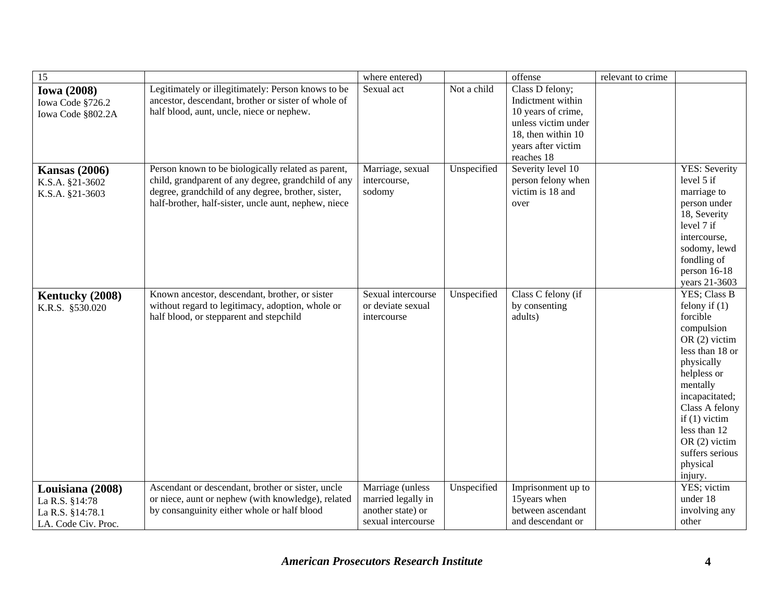| $\overline{15}$                                                               |                                                                                                                                                                                                                         | where entered)                                                                    |             | offense                                                                                                                                     | relevant to crime |                                                                                                                                                                                                                                                                              |
|-------------------------------------------------------------------------------|-------------------------------------------------------------------------------------------------------------------------------------------------------------------------------------------------------------------------|-----------------------------------------------------------------------------------|-------------|---------------------------------------------------------------------------------------------------------------------------------------------|-------------------|------------------------------------------------------------------------------------------------------------------------------------------------------------------------------------------------------------------------------------------------------------------------------|
| <b>Iowa (2008)</b><br>Iowa Code §726.2<br>Iowa Code §802.2A                   | Legitimately or illegitimately: Person knows to be<br>ancestor, descendant, brother or sister of whole of<br>half blood, aunt, uncle, niece or nephew.                                                                  | Sexual act                                                                        | Not a child | Class D felony;<br>Indictment within<br>10 years of crime,<br>unless victim under<br>18, then within 10<br>years after victim<br>reaches 18 |                   |                                                                                                                                                                                                                                                                              |
| <b>Kansas</b> (2006)<br>K.S.A. §21-3602<br>K.S.A. §21-3603                    | Person known to be biologically related as parent,<br>child, grandparent of any degree, grandchild of any<br>degree, grandchild of any degree, brother, sister,<br>half-brother, half-sister, uncle aunt, nephew, niece | Marriage, sexual<br>intercourse,<br>sodomy                                        | Unspecified | Severity level 10<br>person felony when<br>victim is 18 and<br>over                                                                         |                   | <b>YES: Severity</b><br>level 5 if<br>marriage to<br>person under<br>18, Severity<br>level 7 if<br>intercourse,<br>sodomy, lewd<br>fondling of<br>person 16-18<br>years 21-3603                                                                                              |
| Kentucky (2008)<br>K.R.S. §530.020                                            | Known ancestor, descendant, brother, or sister<br>without regard to legitimacy, adoption, whole or<br>half blood, or stepparent and stepchild                                                                           | Sexual intercourse<br>or deviate sexual<br>intercourse                            | Unspecified | Class C felony (if<br>by consenting<br>adults)                                                                                              |                   | YES; Class B<br>felony if $(1)$<br>forcible<br>compulsion<br>OR $(2)$ victim<br>less than 18 or<br>physically<br>helpless or<br>mentally<br>incapacitated;<br>Class A felony<br>if $(1)$ victim<br>less than 12<br>OR $(2)$ victim<br>suffers serious<br>physical<br>injury. |
| Louisiana (2008)<br>La R.S. §14:78<br>La R.S. §14:78.1<br>LA. Code Civ. Proc. | Ascendant or descendant, brother or sister, uncle<br>or niece, aunt or nephew (with knowledge), related<br>by consanguinity either whole or half blood                                                                  | Marriage (unless<br>married legally in<br>another state) or<br>sexual intercourse | Unspecified | Imprisonment up to<br>15years when<br>between ascendant<br>and descendant or                                                                |                   | YES; victim<br>under 18<br>involving any<br>other                                                                                                                                                                                                                            |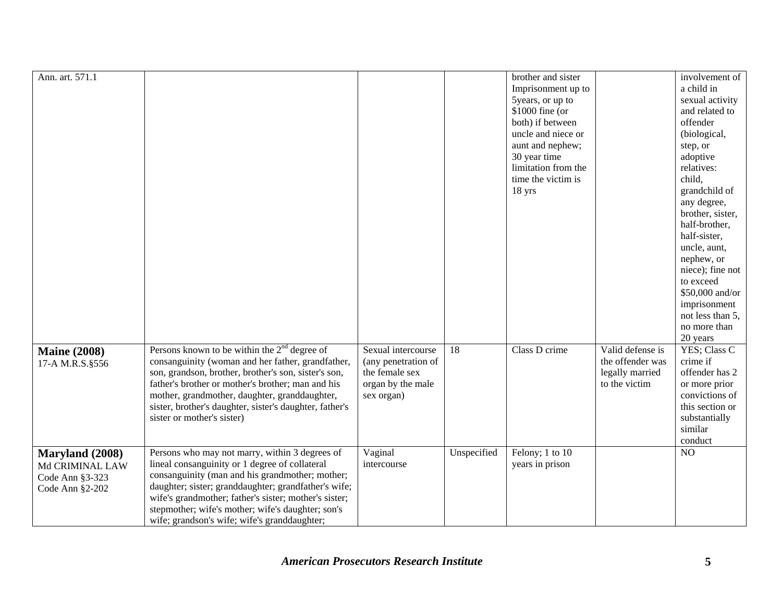| Ann. art. 571.1                                                          |                                                                                                                                                                                                                                                                                                                                                                           |                                                                                                |             | brother and sister<br>Imprisonment up to<br>5years, or up to<br>\$1000 fine (or<br>both) if between<br>uncle and niece or<br>aunt and nephew;<br>30 year time<br>limitation from the<br>time the victim is<br>18 yrs |                                                                          | involvement of<br>a child in<br>sexual activity<br>and related to<br>offender<br>(biological,<br>step, or<br>adoptive<br>relatives:<br>child,<br>grandchild of<br>any degree,<br>brother, sister,<br>half-brother,<br>half-sister,<br>uncle, aunt,<br>nephew, or<br>niece); fine not<br>to exceed<br>\$50,000 and/or<br>imprisonment<br>not less than 5,<br>no more than<br>20 years |
|--------------------------------------------------------------------------|---------------------------------------------------------------------------------------------------------------------------------------------------------------------------------------------------------------------------------------------------------------------------------------------------------------------------------------------------------------------------|------------------------------------------------------------------------------------------------|-------------|----------------------------------------------------------------------------------------------------------------------------------------------------------------------------------------------------------------------|--------------------------------------------------------------------------|--------------------------------------------------------------------------------------------------------------------------------------------------------------------------------------------------------------------------------------------------------------------------------------------------------------------------------------------------------------------------------------|
| <b>Maine (2008)</b><br>17-A M.R.S.§556                                   | Persons known to be within the $2nd$ degree of<br>consanguinity (woman and her father, grandfather,<br>son, grandson, brother, brother's son, sister's son,<br>father's brother or mother's brother; man and his<br>mother, grandmother, daughter, granddaughter,<br>sister, brother's daughter, sister's daughter, father's<br>sister or mother's sister)                | Sexual intercourse<br>(any penetration of<br>the female sex<br>organ by the male<br>sex organ) | 18          | Class D crime                                                                                                                                                                                                        | Valid defense is<br>the offender was<br>legally married<br>to the victim | YES; Class C<br>crime if<br>offender has 2<br>or more prior<br>convictions of<br>this section or<br>substantially<br>similar<br>conduct                                                                                                                                                                                                                                              |
| Maryland (2008)<br>Md CRIMINAL LAW<br>Code Ann §3-323<br>Code Ann §2-202 | Persons who may not marry, within 3 degrees of<br>lineal consanguinity or 1 degree of collateral<br>consanguinity (man and his grandmother; mother;<br>daughter; sister; granddaughter; grandfather's wife;<br>wife's grandmother; father's sister; mother's sister;<br>stepmother; wife's mother; wife's daughter; son's<br>wife; grandson's wife; wife's granddaughter; | Vaginal<br>intercourse                                                                         | Unspecified | Felony; 1 to 10<br>years in prison                                                                                                                                                                                   |                                                                          | NO                                                                                                                                                                                                                                                                                                                                                                                   |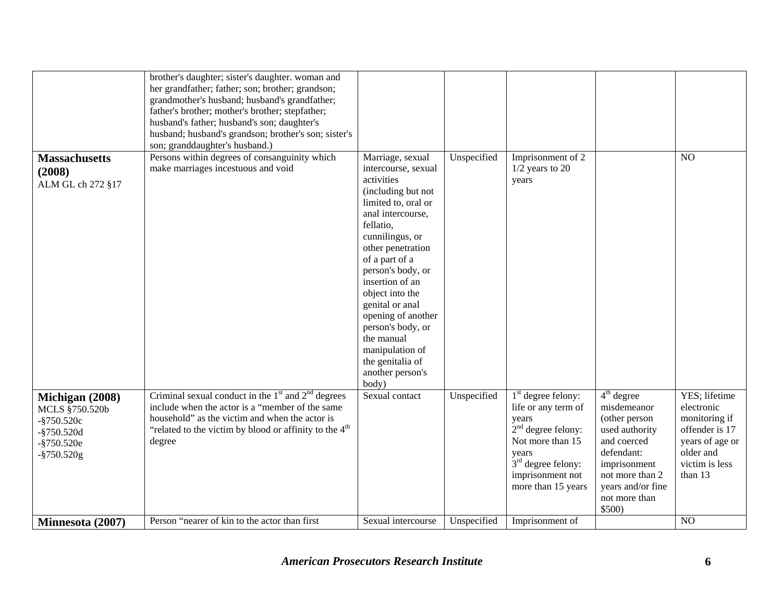|                                                                                                       | brother's daughter; sister's daughter. woman and<br>her grandfather; father; son; brother; grandson;<br>grandmother's husband; husband's grandfather;<br>father's brother; mother's brother; stepfather;<br>husband's father; husband's son; daughter's<br>husband; husband's grandson; brother's son; sister's<br>son; granddaughter's husband.) |                                                                                                                                                                                                                                                                                                                                                                                                           |             |                                                                                                                                                                             |                                                                                                                                                                                |                                                                                                                             |
|-------------------------------------------------------------------------------------------------------|---------------------------------------------------------------------------------------------------------------------------------------------------------------------------------------------------------------------------------------------------------------------------------------------------------------------------------------------------|-----------------------------------------------------------------------------------------------------------------------------------------------------------------------------------------------------------------------------------------------------------------------------------------------------------------------------------------------------------------------------------------------------------|-------------|-----------------------------------------------------------------------------------------------------------------------------------------------------------------------------|--------------------------------------------------------------------------------------------------------------------------------------------------------------------------------|-----------------------------------------------------------------------------------------------------------------------------|
| <b>Massachusetts</b><br>(2008)<br>ALM GL ch 272 §17                                                   | Persons within degrees of consanguinity which<br>make marriages incestuous and void                                                                                                                                                                                                                                                               | Marriage, sexual<br>intercourse, sexual<br>activities<br>(including but not<br>limited to, oral or<br>anal intercourse,<br>fellatio,<br>cunnilingus, or<br>other penetration<br>of a part of a<br>person's body, or<br>insertion of an<br>object into the<br>genital or anal<br>opening of another<br>person's body, or<br>the manual<br>manipulation of<br>the genitalia of<br>another person's<br>body) | Unspecified | Imprisonment of 2<br>$1/2$ years to 20<br>years                                                                                                                             |                                                                                                                                                                                | N <sub>O</sub>                                                                                                              |
| Michigan (2008)<br>MCLS §750.520b<br>$-$ §750.520c<br>$-$ §750.520d<br>$-$ §750.520e<br>$-$ §750.520g | Criminal sexual conduct in the $1st$ and $2nd$ degrees<br>include when the actor is a "member of the same"<br>household" as the victim and when the actor is<br>"related to the victim by blood or affinity to the 4 <sup>th</sup><br>degree                                                                                                      | Sexual contact                                                                                                                                                                                                                                                                                                                                                                                            | Unspecified | $1st$ degree felony:<br>life or any term of<br>years<br>$2nd$ degree felony:<br>Not more than 15<br>years<br>$3rd$ degree felony:<br>imprisonment not<br>more than 15 years | $4th$ degree<br>misdemeanor<br>(other person<br>used authority<br>and coerced<br>defendant:<br>imprisonment<br>not more than 2<br>years and/or fine<br>not more than<br>\$500) | YES; lifetime<br>electronic<br>monitoring if<br>offender is 17<br>years of age or<br>older and<br>victim is less<br>than 13 |
| Minnesota (2007)                                                                                      | Person "nearer of kin to the actor than first                                                                                                                                                                                                                                                                                                     | Sexual intercourse                                                                                                                                                                                                                                                                                                                                                                                        | Unspecified | Imprisonment of                                                                                                                                                             |                                                                                                                                                                                | NO                                                                                                                          |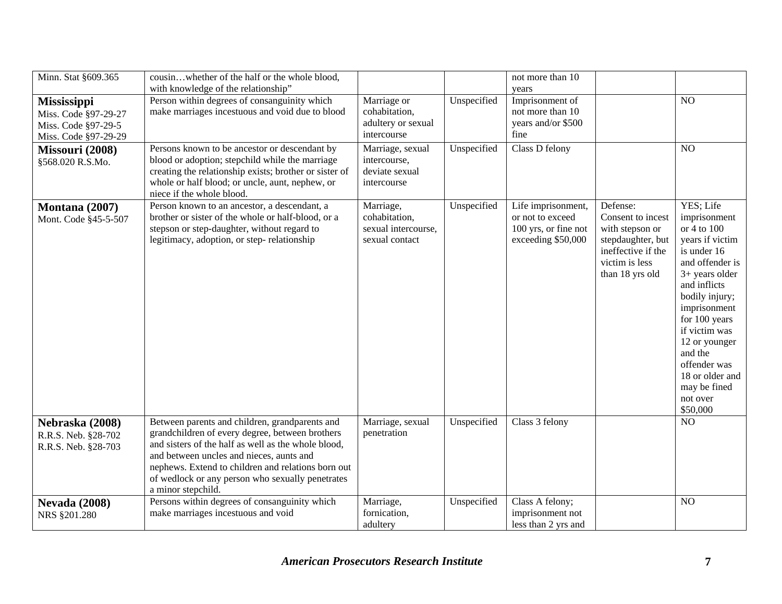| Minn. Stat §609.365                                                                       | cousinwhether of the half or the whole blood,<br>with knowledge of the relationship"                                                                                                                                                                                                                                                 |                                                                     |             | not more than 10<br>years                                                            |                                                                                                                                  |                                                                                                                                                                                                                                                                                                              |
|-------------------------------------------------------------------------------------------|--------------------------------------------------------------------------------------------------------------------------------------------------------------------------------------------------------------------------------------------------------------------------------------------------------------------------------------|---------------------------------------------------------------------|-------------|--------------------------------------------------------------------------------------|----------------------------------------------------------------------------------------------------------------------------------|--------------------------------------------------------------------------------------------------------------------------------------------------------------------------------------------------------------------------------------------------------------------------------------------------------------|
| <b>Mississippi</b><br>Miss. Code §97-29-27<br>Miss. Code §97-29-5<br>Miss. Code §97-29-29 | Person within degrees of consanguinity which<br>make marriages incestuous and void due to blood                                                                                                                                                                                                                                      | Marriage or<br>cohabitation,<br>adultery or sexual<br>intercourse   | Unspecified | Imprisonment of<br>not more than 10<br>years and/or \$500<br>fine                    |                                                                                                                                  | N <sub>O</sub>                                                                                                                                                                                                                                                                                               |
| Missouri (2008)<br>§568.020 R.S.Mo.                                                       | Persons known to be ancestor or descendant by<br>blood or adoption; stepchild while the marriage<br>creating the relationship exists; brother or sister of<br>whole or half blood; or uncle, aunt, nephew, or<br>niece if the whole blood.                                                                                           | Marriage, sexual<br>intercourse,<br>deviate sexual<br>intercourse   | Unspecified | Class D felony                                                                       |                                                                                                                                  | NO                                                                                                                                                                                                                                                                                                           |
| Montana (2007)<br>Mont. Code §45-5-507                                                    | Person known to an ancestor, a descendant, a<br>brother or sister of the whole or half-blood, or a<br>stepson or step-daughter, without regard to<br>legitimacy, adoption, or step-relationship                                                                                                                                      | Marriage,<br>cohabitation,<br>sexual intercourse,<br>sexual contact | Unspecified | Life imprisonment,<br>or not to exceed<br>100 yrs, or fine not<br>exceeding \$50,000 | Defense:<br>Consent to incest<br>with stepson or<br>stepdaughter, but<br>ineffective if the<br>victim is less<br>than 18 yrs old | YES; Life<br>imprisonment<br>or 4 to 100<br>years if victim<br>is under 16<br>and offender is<br>$3+$ years older<br>and inflicts<br>bodily injury;<br>imprisonment<br>for 100 years<br>if victim was<br>12 or younger<br>and the<br>offender was<br>18 or older and<br>may be fined<br>not over<br>\$50,000 |
| Nebraska (2008)<br>R.R.S. Neb. §28-702<br>R.R.S. Neb. §28-703                             | Between parents and children, grandparents and<br>grandchildren of every degree, between brothers<br>and sisters of the half as well as the whole blood,<br>and between uncles and nieces, aunts and<br>nephews. Extend to children and relations born out<br>of wedlock or any person who sexually penetrates<br>a minor stepchild. | Marriage, sexual<br>penetration                                     | Unspecified | Class 3 felony                                                                       |                                                                                                                                  | N <sub>O</sub>                                                                                                                                                                                                                                                                                               |
| <b>Nevada (2008)</b><br>NRS §201.280                                                      | Persons within degrees of consanguinity which<br>make marriages incestuous and void                                                                                                                                                                                                                                                  | Marriage,<br>fornication,<br>adultery                               | Unspecified | Class A felony;<br>imprisonment not<br>less than 2 yrs and                           |                                                                                                                                  | N <sub>O</sub>                                                                                                                                                                                                                                                                                               |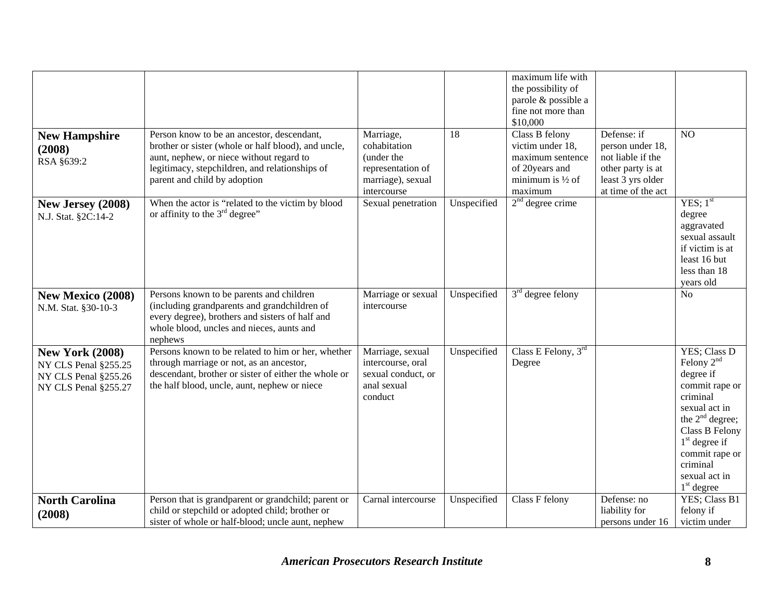| <b>New Hampshire</b><br>(2008)<br>RSA §639:2                                                   | Person know to be an ancestor, descendant,<br>brother or sister (whole or half blood), and uncle,<br>aunt, nephew, or niece without regard to<br>legitimacy, stepchildren, and relationships of<br>parent and child by adoption | Marriage,<br>cohabitation<br>(under the<br>representation of<br>marriage), sexual     | 18          | maximum life with<br>the possibility of<br>parole & possible a<br>fine not more than<br>\$10,000<br>Class B felony<br>victim under 18,<br>maximum sentence<br>of 20years and<br>minimum is $\frac{1}{2}$ of | Defense: if<br>person under 18,<br>not liable if the<br>other party is at<br>least 3 yrs older | N <sub>O</sub>                                                                                                                                                                                                    |
|------------------------------------------------------------------------------------------------|---------------------------------------------------------------------------------------------------------------------------------------------------------------------------------------------------------------------------------|---------------------------------------------------------------------------------------|-------------|-------------------------------------------------------------------------------------------------------------------------------------------------------------------------------------------------------------|------------------------------------------------------------------------------------------------|-------------------------------------------------------------------------------------------------------------------------------------------------------------------------------------------------------------------|
| New Jersey (2008)<br>N.J. Stat. §2C:14-2                                                       | When the actor is "related to the victim by blood<br>or affinity to the $3rd$ degree"                                                                                                                                           | intercourse<br>Sexual penetration                                                     | Unspecified | maximum<br>$2nd$ degree crime                                                                                                                                                                               | at time of the act                                                                             | YES; 1 <sup>st</sup><br>degree<br>aggravated<br>sexual assault<br>if victim is at<br>least 16 but<br>less than 18<br>years old                                                                                    |
| <b>New Mexico (2008)</b><br>N.M. Stat. §30-10-3                                                | Persons known to be parents and children<br>(including grandparents and grandchildren of<br>every degree), brothers and sisters of half and<br>whole blood, uncles and nieces, aunts and<br>nephews                             | Marriage or sexual<br>intercourse                                                     | Unspecified | $3rd$ degree felony                                                                                                                                                                                         |                                                                                                | N <sub>o</sub>                                                                                                                                                                                                    |
| <b>New York (2008)</b><br>NY CLS Penal §255.25<br>NY CLS Penal §255.26<br>NY CLS Penal §255.27 | Persons known to be related to him or her, whether<br>through marriage or not, as an ancestor,<br>descendant, brother or sister of either the whole or<br>the half blood, uncle, aunt, nephew or niece                          | Marriage, sexual<br>intercourse, oral<br>sexual conduct, or<br>anal sexual<br>conduct | Unspecified | Class E Felony, $3rd$<br>Degree                                                                                                                                                                             |                                                                                                | YES; Class D<br>Felony $2nd$<br>degree if<br>commit rape or<br>criminal<br>sexual act in<br>the $2nd$ degree;<br>Class B Felony<br>$1st$ degree if<br>commit rape or<br>criminal<br>sexual act in<br>$1st$ degree |
| <b>North Carolina</b><br>(2008)                                                                | Person that is grandparent or grandchild; parent or<br>child or stepchild or adopted child; brother or<br>sister of whole or half-blood; uncle aunt, nephew                                                                     | Carnal intercourse                                                                    | Unspecified | Class F felony                                                                                                                                                                                              | Defense: no<br>liability for<br>persons under 16                                               | YES; Class B1<br>felony if<br>victim under                                                                                                                                                                        |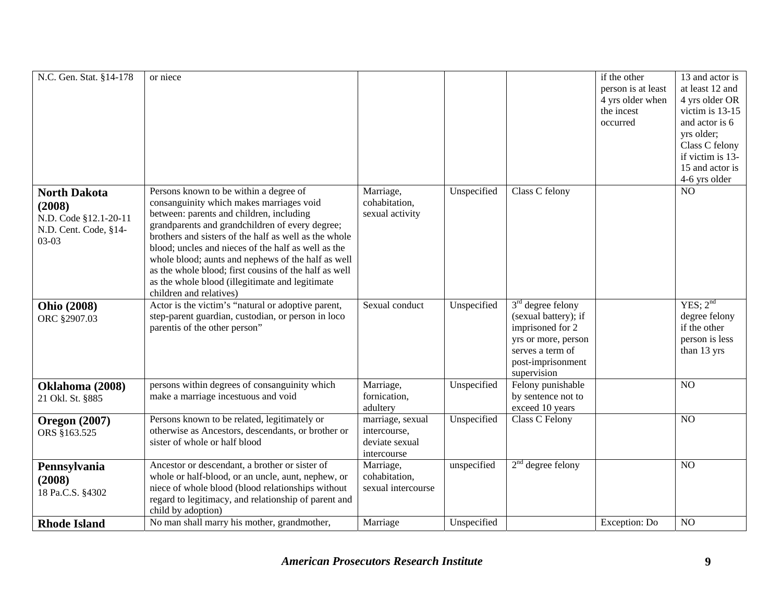| N.C. Gen. Stat. §14-178                                                                    | or niece                                                                                                                                                                                                                                                                                                                                                                                                                                                                                       |                                                                   |             |                                                                                                                                                | if the other<br>person is at least<br>4 yrs older when<br>the incest<br>occurred | 13 and actor is<br>at least 12 and<br>4 yrs older OR<br>victim is 13-15<br>and actor is 6<br>yrs older;<br>Class C felony<br>if victim is 13-<br>15 and actor is<br>4-6 yrs older |
|--------------------------------------------------------------------------------------------|------------------------------------------------------------------------------------------------------------------------------------------------------------------------------------------------------------------------------------------------------------------------------------------------------------------------------------------------------------------------------------------------------------------------------------------------------------------------------------------------|-------------------------------------------------------------------|-------------|------------------------------------------------------------------------------------------------------------------------------------------------|----------------------------------------------------------------------------------|-----------------------------------------------------------------------------------------------------------------------------------------------------------------------------------|
| <b>North Dakota</b><br>(2008)<br>N.D. Code §12.1-20-11<br>N.D. Cent. Code, §14-<br>$03-03$ | Persons known to be within a degree of<br>consanguinity which makes marriages void<br>between: parents and children, including<br>grandparents and grandchildren of every degree;<br>brothers and sisters of the half as well as the whole<br>blood; uncles and nieces of the half as well as the<br>whole blood; aunts and nephews of the half as well<br>as the whole blood; first cousins of the half as well<br>as the whole blood (illegitimate and legitimate<br>children and relatives) | Marriage,<br>cohabitation,<br>sexual activity                     | Unspecified | Class C felony                                                                                                                                 |                                                                                  | NO                                                                                                                                                                                |
| <b>Ohio (2008)</b><br>ORC §2907.03                                                         | Actor is the victim's "natural or adoptive parent,<br>step-parent guardian, custodian, or person in loco<br>parentis of the other person"                                                                                                                                                                                                                                                                                                                                                      | Sexual conduct                                                    | Unspecified | $3rd$ degree felony<br>(sexual battery); if<br>imprisoned for 2<br>yrs or more, person<br>serves a term of<br>post-imprisonment<br>supervision |                                                                                  | YES; $2^{nd}$<br>degree felony<br>if the other<br>person is less<br>than 13 yrs                                                                                                   |
| Oklahoma (2008)<br>21 Okl. St. §885                                                        | persons within degrees of consanguinity which<br>make a marriage incestuous and void                                                                                                                                                                                                                                                                                                                                                                                                           | Marriage,<br>fornication,<br>adultery                             | Unspecified | Felony punishable<br>by sentence not to<br>exceed 10 years                                                                                     |                                                                                  | NO                                                                                                                                                                                |
| <b>Oregon</b> (2007)<br>ORS §163.525                                                       | Persons known to be related, legitimately or<br>otherwise as Ancestors, descendants, or brother or<br>sister of whole or half blood                                                                                                                                                                                                                                                                                                                                                            | marriage, sexual<br>intercourse,<br>deviate sexual<br>intercourse | Unspecified | Class C Felony                                                                                                                                 |                                                                                  | NO                                                                                                                                                                                |
| Pennsylvania<br>(2008)<br>18 Pa.C.S. §4302                                                 | Ancestor or descendant, a brother or sister of<br>whole or half-blood, or an uncle, aunt, nephew, or<br>niece of whole blood (blood relationships without<br>regard to legitimacy, and relationship of parent and<br>child by adoption)                                                                                                                                                                                                                                                        | Marriage,<br>cohabitation,<br>sexual intercourse                  | unspecified | $2nd$ degree felony                                                                                                                            |                                                                                  | NO                                                                                                                                                                                |
| <b>Rhode Island</b>                                                                        | No man shall marry his mother, grandmother,                                                                                                                                                                                                                                                                                                                                                                                                                                                    | Marriage                                                          | Unspecified |                                                                                                                                                | Exception: Do                                                                    | NO                                                                                                                                                                                |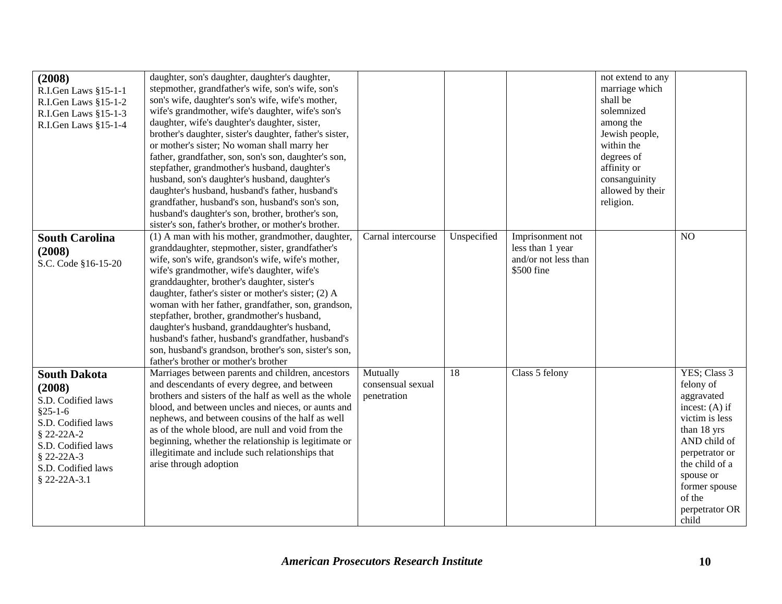| (2008)<br>R.I.Gen Laws §15-1-1<br>R.I.Gen Laws §15-1-2<br>R.I.Gen Laws §15-1-3<br>R.I.Gen Laws §15-1-4                                                                          | daughter, son's daughter, daughter's daughter,<br>stepmother, grandfather's wife, son's wife, son's<br>son's wife, daughter's son's wife, wife's mother,<br>wife's grandmother, wife's daughter, wife's son's<br>daughter, wife's daughter's daughter, sister,<br>brother's daughter, sister's daughter, father's sister,<br>or mother's sister; No woman shall marry her<br>father, grandfather, son, son's son, daughter's son,<br>stepfather, grandmother's husband, daughter's<br>husband, son's daughter's husband, daughter's<br>daughter's husband, husband's father, husband's<br>grandfather, husband's son, husband's son's son,<br>husband's daughter's son, brother, brother's son,<br>sister's son, father's brother, or mother's brother. |                                              |             |                                                                            | not extend to any<br>marriage which<br>shall be<br>solemnized<br>among the<br>Jewish people,<br>within the<br>degrees of<br>affinity or<br>consanguinity<br>allowed by their<br>religion. |                                                                                                                                                                                                                     |
|---------------------------------------------------------------------------------------------------------------------------------------------------------------------------------|---------------------------------------------------------------------------------------------------------------------------------------------------------------------------------------------------------------------------------------------------------------------------------------------------------------------------------------------------------------------------------------------------------------------------------------------------------------------------------------------------------------------------------------------------------------------------------------------------------------------------------------------------------------------------------------------------------------------------------------------------------|----------------------------------------------|-------------|----------------------------------------------------------------------------|-------------------------------------------------------------------------------------------------------------------------------------------------------------------------------------------|---------------------------------------------------------------------------------------------------------------------------------------------------------------------------------------------------------------------|
| <b>South Carolina</b><br>(2008)<br>S.C. Code §16-15-20                                                                                                                          | (1) A man with his mother, grandmother, daughter,<br>granddaughter, stepmother, sister, grandfather's<br>wife, son's wife, grandson's wife, wife's mother,<br>wife's grandmother, wife's daughter, wife's<br>granddaughter, brother's daughter, sister's<br>daughter, father's sister or mother's sister; (2) A<br>woman with her father, grandfather, son, grandson,<br>stepfather, brother, grandmother's husband,<br>daughter's husband, granddaughter's husband,<br>husband's father, husband's grandfather, husband's<br>son, husband's grandson, brother's son, sister's son,<br>father's brother or mother's brother                                                                                                                             | Carnal intercourse                           | Unspecified | Imprisonment not<br>less than 1 year<br>and/or not less than<br>\$500 fine |                                                                                                                                                                                           | NO                                                                                                                                                                                                                  |
| <b>South Dakota</b><br>(2008)<br>S.D. Codified laws<br>$§25-1-6$<br>S.D. Codified laws<br>§ 22-22A-2<br>S.D. Codified laws<br>$$22-22A-3$<br>S.D. Codified laws<br>§ 22-22A-3.1 | Marriages between parents and children, ancestors<br>and descendants of every degree, and between<br>brothers and sisters of the half as well as the whole<br>blood, and between uncles and nieces, or aunts and<br>nephews, and between cousins of the half as well<br>as of the whole blood, are null and void from the<br>beginning, whether the relationship is legitimate or<br>illegitimate and include such relationships that<br>arise through adoption                                                                                                                                                                                                                                                                                         | Mutually<br>consensual sexual<br>penetration | 18          | Class 5 felony                                                             |                                                                                                                                                                                           | YES; Class 3<br>felony of<br>aggravated<br>incest: $(A)$ if<br>victim is less<br>than 18 yrs<br>AND child of<br>perpetrator or<br>the child of a<br>spouse or<br>former spouse<br>of the<br>perpetrator OR<br>child |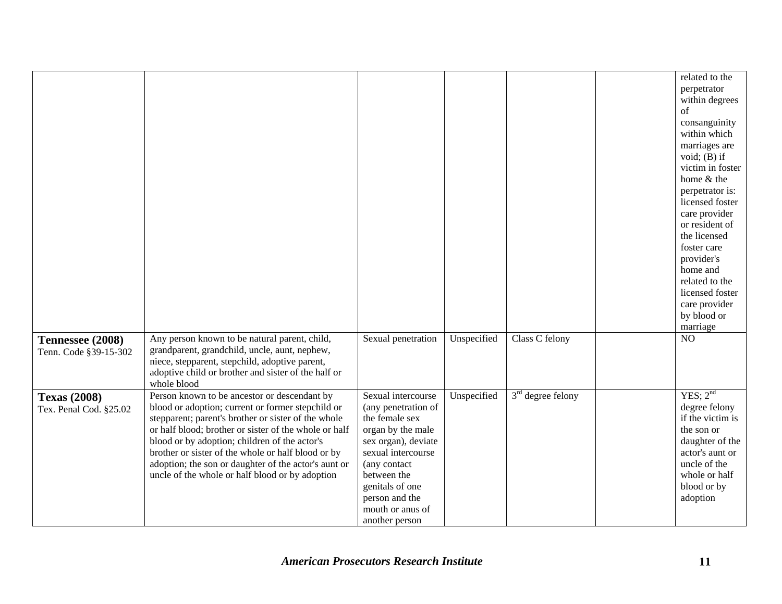|                                               |                                                                                                                                                                                                                                                                                                                                                                                                                                     |                                                                                                                                                                                                                                         |             |                     | related to the<br>perpetrator<br>within degrees<br>$\sigma$ f<br>consanguinity<br>within which<br>marriages are<br>void; $(B)$ if<br>victim in foster<br>home & the<br>perpetrator is:<br>licensed foster<br>care provider<br>or resident of<br>the licensed<br>foster care<br>provider's<br>home and<br>related to the<br>licensed foster<br>care provider<br>by blood or<br>marriage |
|-----------------------------------------------|-------------------------------------------------------------------------------------------------------------------------------------------------------------------------------------------------------------------------------------------------------------------------------------------------------------------------------------------------------------------------------------------------------------------------------------|-----------------------------------------------------------------------------------------------------------------------------------------------------------------------------------------------------------------------------------------|-------------|---------------------|----------------------------------------------------------------------------------------------------------------------------------------------------------------------------------------------------------------------------------------------------------------------------------------------------------------------------------------------------------------------------------------|
| Tennessee (2008)<br>Tenn. Code §39-15-302     | Any person known to be natural parent, child,<br>grandparent, grandchild, uncle, aunt, nephew,<br>niece, stepparent, stepchild, adoptive parent,<br>adoptive child or brother and sister of the half or<br>whole blood                                                                                                                                                                                                              | Sexual penetration                                                                                                                                                                                                                      | Unspecified | Class C felony      | NO                                                                                                                                                                                                                                                                                                                                                                                     |
| <b>Texas (2008)</b><br>Tex. Penal Cod. §25.02 | Person known to be ancestor or descendant by<br>blood or adoption; current or former stepchild or<br>stepparent; parent's brother or sister of the whole<br>or half blood; brother or sister of the whole or half<br>blood or by adoption; children of the actor's<br>brother or sister of the whole or half blood or by<br>adoption; the son or daughter of the actor's aunt or<br>uncle of the whole or half blood or by adoption | Sexual intercourse<br>(any penetration of<br>the female sex<br>organ by the male<br>sex organ), deviate<br>sexual intercourse<br>(any contact<br>between the<br>genitals of one<br>person and the<br>mouth or anus of<br>another person | Unspecified | $3rd$ degree felony | YES; $2^{nd}$<br>degree felony<br>if the victim is<br>the son or<br>daughter of the<br>actor's aunt or<br>uncle of the<br>whole or half<br>blood or by<br>adoption                                                                                                                                                                                                                     |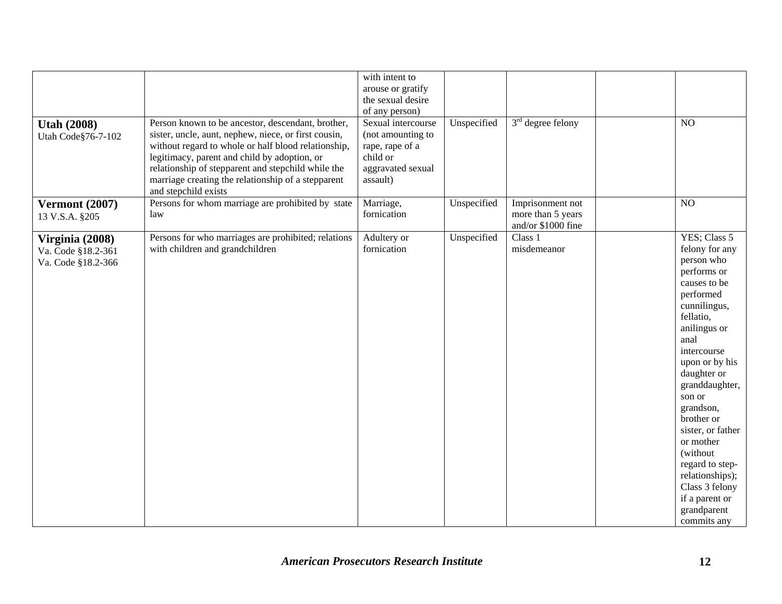| <b>Utah (2008)</b><br>Utah Code§76-7-102                    | Person known to be ancestor, descendant, brother,<br>sister, uncle, aunt, nephew, niece, or first cousin,<br>without regard to whole or half blood relationship,<br>legitimacy, parent and child by adoption, or<br>relationship of stepparent and stepchild while the<br>marriage creating the relationship of a stepparent<br>and stepchild exists | with intent to<br>arouse or gratify<br>the sexual desire<br>of any person)<br>Sexual intercourse<br>(not amounting to<br>rape, rape of a<br>child or<br>aggravated sexual<br>assault) | Unspecified | $3rd$ degree felony                                         | NO                                                                                                                                                                                                                                                                                                                                                                                                          |
|-------------------------------------------------------------|------------------------------------------------------------------------------------------------------------------------------------------------------------------------------------------------------------------------------------------------------------------------------------------------------------------------------------------------------|---------------------------------------------------------------------------------------------------------------------------------------------------------------------------------------|-------------|-------------------------------------------------------------|-------------------------------------------------------------------------------------------------------------------------------------------------------------------------------------------------------------------------------------------------------------------------------------------------------------------------------------------------------------------------------------------------------------|
| <b>Vermont (2007)</b><br>13 V.S.A. §205                     | Persons for whom marriage are prohibited by state<br>law                                                                                                                                                                                                                                                                                             | Marriage,<br>fornication                                                                                                                                                              | Unspecified | Imprisonment not<br>more than 5 years<br>and/or \$1000 fine | NO                                                                                                                                                                                                                                                                                                                                                                                                          |
| Virginia (2008)<br>Va. Code §18.2-361<br>Va. Code §18.2-366 | Persons for who marriages are prohibited; relations<br>with children and grandchildren                                                                                                                                                                                                                                                               | Adultery or<br>fornication                                                                                                                                                            | Unspecified | Class 1<br>misdemeanor                                      | YES; Class 5<br>felony for any<br>person who<br>performs or<br>causes to be<br>performed<br>cunnilingus,<br>fellatio,<br>anilingus or<br>anal<br>intercourse<br>upon or by his<br>daughter or<br>granddaughter,<br>son or<br>grandson,<br>brother or<br>sister, or father<br>or mother<br>(without)<br>regard to step-<br>relationships);<br>Class 3 felony<br>if a parent or<br>grandparent<br>commits any |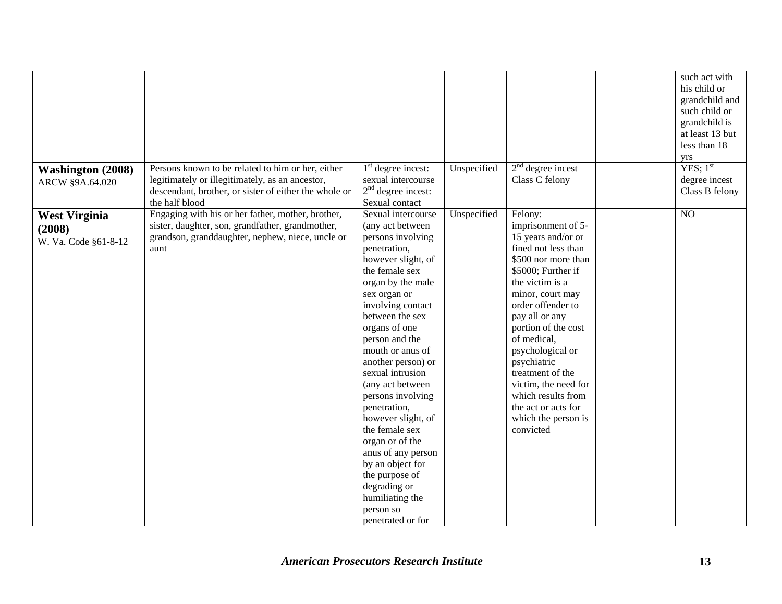|                                                        |                                                                                                                                                                                 |                                                                                                                                                                                                                                                                                                                                                                                                                                                                                                                                                        |             |                                                                                                                                                                                                                                                                                                                                                                                                             | such act with<br>his child or<br>grandchild and<br>such child or<br>grandchild is<br>at least 13 but<br>less than 18<br>yrs |
|--------------------------------------------------------|---------------------------------------------------------------------------------------------------------------------------------------------------------------------------------|--------------------------------------------------------------------------------------------------------------------------------------------------------------------------------------------------------------------------------------------------------------------------------------------------------------------------------------------------------------------------------------------------------------------------------------------------------------------------------------------------------------------------------------------------------|-------------|-------------------------------------------------------------------------------------------------------------------------------------------------------------------------------------------------------------------------------------------------------------------------------------------------------------------------------------------------------------------------------------------------------------|-----------------------------------------------------------------------------------------------------------------------------|
| <b>Washington (2008)</b><br>ARCW §9A.64.020            | Persons known to be related to him or her, either<br>legitimately or illegitimately, as an ancestor,<br>descendant, brother, or sister of either the whole or<br>the half blood | $1st$ degree incest:<br>sexual intercourse<br>$2nd$ degree incest:<br>Sexual contact                                                                                                                                                                                                                                                                                                                                                                                                                                                                   | Unspecified | $2nd$ degree incest<br>Class C felony                                                                                                                                                                                                                                                                                                                                                                       | YES; 1 <sup>st</sup><br>degree incest<br>Class B felony                                                                     |
| <b>West Virginia</b><br>(2008)<br>W. Va. Code §61-8-12 | Engaging with his or her father, mother, brother,<br>sister, daughter, son, grandfather, grandmother,<br>grandson, granddaughter, nephew, niece, uncle or<br>aunt               | Sexual intercourse<br>(any act between<br>persons involving<br>penetration,<br>however slight, of<br>the female sex<br>organ by the male<br>sex organ or<br>involving contact<br>between the sex<br>organs of one<br>person and the<br>mouth or anus of<br>another person) or<br>sexual intrusion<br>(any act between<br>persons involving<br>penetration,<br>however slight, of<br>the female sex<br>organ or of the<br>anus of any person<br>by an object for<br>the purpose of<br>degrading or<br>humiliating the<br>person so<br>penetrated or for | Unspecified | Felony:<br>imprisonment of 5-<br>15 years and/or or<br>fined not less than<br>\$500 nor more than<br>\$5000; Further if<br>the victim is a<br>minor, court may<br>order offender to<br>pay all or any<br>portion of the cost<br>of medical,<br>psychological or<br>psychiatric<br>treatment of the<br>victim, the need for<br>which results from<br>the act or acts for<br>which the person is<br>convicted | NO                                                                                                                          |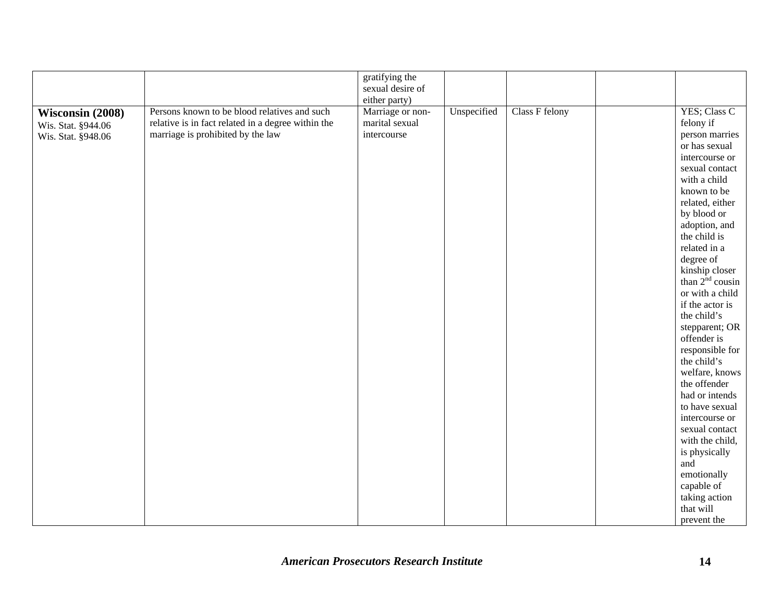| gratifying the<br>sexual desire of<br>either party)                                                                                                                                                                                                                                           |                                                                                                                                                                                                                                                                                                                                                                                                                                                                                                                                                                                                                |
|-----------------------------------------------------------------------------------------------------------------------------------------------------------------------------------------------------------------------------------------------------------------------------------------------|----------------------------------------------------------------------------------------------------------------------------------------------------------------------------------------------------------------------------------------------------------------------------------------------------------------------------------------------------------------------------------------------------------------------------------------------------------------------------------------------------------------------------------------------------------------------------------------------------------------|
| Persons known to be blood relatives and such<br>Marriage or non-<br>Unspecified<br>Class F felony<br>Wisconsin (2008)<br>relative is in fact related in a degree within the<br>marital sexual<br>Wis. Stat. §944.06<br>marriage is prohibited by the law<br>intercourse<br>Wis. Stat. §948.06 | YES; Class C<br>felony if<br>person marries<br>or has sexual<br>intercourse or<br>sexual contact<br>with a child<br>known to be<br>related, either<br>by blood or<br>adoption, and<br>the child is<br>related in a<br>degree of<br>kinship closer<br>than $2nd$ cousin<br>or with a child<br>if the actor is<br>the child's<br>stepparent; OR<br>offender is<br>responsible for<br>the child's<br>welfare, knows<br>the offender<br>had or intends<br>to have sexual<br>intercourse or<br>sexual contact<br>with the child,<br>is physically<br>and<br>emotionally<br>capable of<br>taking action<br>that will |